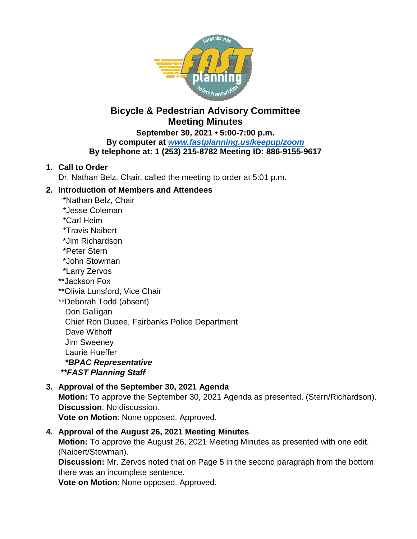

# **Bicycle & Pedestrian Advisory Committee Meeting Minutes**

**September 30, 2021 • 5:00-7:00 p.m. By computer at** *[www.fastplanning.us/keepup/zoom](http://www.fastplanning.us/keepup/zoom)* **By telephone at: 1 (253) 215-8782 Meeting ID: 886-9155-9617**

# **1. Call to Order**

Dr. Nathan Belz, Chair, called the meeting to order at 5:01 p.m.

# **2. Introduction of Members and Attendees**

- \*Nathan Belz, Chair
- \*Jesse Coleman
- \*Carl Heim
- \*Travis Naibert
- \*Jim Richardson
- \*Peter Stern
- \*John Stowman
- \*Larry Zervos
- \*\*Jackson Fox
- \*\*Olivia Lunsford, Vice Chair
- \*\*Deborah Todd (absent)
- Don Galligan
- Chief Ron Dupee, Fairbanks Police Department
- Dave Withoff
- Jim Sweeney
- Laurie Hueffer
- *\*BPAC Representative*
- *\*\*FAST Planning Staff*
- **3. Approval of the September 30, 2021 Agenda**

**Motion:** To approve the September 30, 2021 Agenda as presented. (Stern/Richardson). **Discussion**: No discussion.

**Vote on Motion**: None opposed. Approved.

**4. Approval of the August 26, 2021 Meeting Minutes**

**Motion:** To approve the August 26, 2021 Meeting Minutes as presented with one edit. (Naibert/Stowman).

**Discussion:** Mr. Zervos noted that on Page 5 in the second paragraph from the bottom there was an incomplete sentence.

**Vote on Motion**: None opposed. Approved.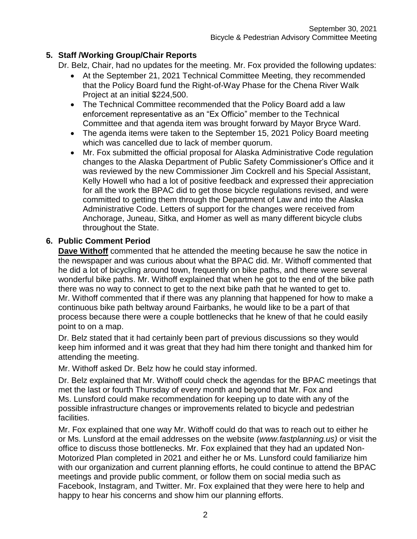# **5. Staff /Working Group/Chair Reports**

Dr. Belz, Chair, had no updates for the meeting. Mr. Fox provided the following updates:

- At the September 21, 2021 Technical Committee Meeting, they recommended that the Policy Board fund the Right-of-Way Phase for the Chena River Walk Project at an initial \$224,500.
- The Technical Committee recommended that the Policy Board add a law enforcement representative as an "Ex Officio" member to the Technical Committee and that agenda item was brought forward by Mayor Bryce Ward.
- The agenda items were taken to the September 15, 2021 Policy Board meeting which was cancelled due to lack of member quorum.
- Mr. Fox submitted the official proposal for Alaska Administrative Code regulation changes to the Alaska Department of Public Safety Commissioner's Office and it was reviewed by the new Commissioner Jim Cockrell and his Special Assistant, Kelly Howell who had a lot of positive feedback and expressed their appreciation for all the work the BPAC did to get those bicycle regulations revised, and were committed to getting them through the Department of Law and into the Alaska Administrative Code. Letters of support for the changes were received from Anchorage, Juneau, Sitka, and Homer as well as many different bicycle clubs throughout the State.

# **6. Public Comment Period**

**Dave Withoff** commented that he attended the meeting because he saw the notice in the newspaper and was curious about what the BPAC did. Mr. Withoff commented that he did a lot of bicycling around town, frequently on bike paths, and there were several wonderful bike paths. Mr. Withoff explained that when he got to the end of the bike path there was no way to connect to get to the next bike path that he wanted to get to. Mr. Withoff commented that if there was any planning that happened for how to make a continuous bike path beltway around Fairbanks, he would like to be a part of that process because there were a couple bottlenecks that he knew of that he could easily point to on a map.

Dr. Belz stated that it had certainly been part of previous discussions so they would keep him informed and it was great that they had him there tonight and thanked him for attending the meeting.

Mr. Withoff asked Dr. Belz how he could stay informed.

Dr. Belz explained that Mr. Withoff could check the agendas for the BPAC meetings that met the last or fourth Thursday of every month and beyond that Mr. Fox and Ms. Lunsford could make recommendation for keeping up to date with any of the possible infrastructure changes or improvements related to bicycle and pedestrian facilities.

Mr. Fox explained that one way Mr. Withoff could do that was to reach out to either he or Ms. Lunsford at the email addresses on the website (*www.fastplanning.us)* or visit the office to discuss those bottlenecks. Mr. Fox explained that they had an updated Non-Motorized Plan completed in 2021 and either he or Ms. Lunsford could familiarize him with our organization and current planning efforts, he could continue to attend the BPAC meetings and provide public comment, or follow them on social media such as Facebook, Instagram, and Twitter. Mr. Fox explained that they were here to help and happy to hear his concerns and show him our planning efforts.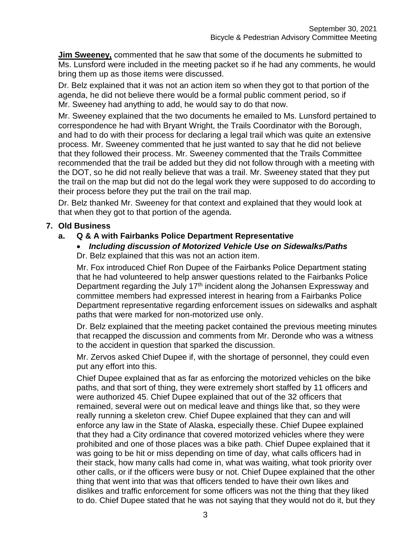**Jim Sweeney,** commented that he saw that some of the documents he submitted to Ms. Lunsford were included in the meeting packet so if he had any comments, he would bring them up as those items were discussed.

Dr. Belz explained that it was not an action item so when they got to that portion of the agenda, he did not believe there would be a formal public comment period, so if Mr. Sweeney had anything to add, he would say to do that now.

Mr. Sweeney explained that the two documents he emailed to Ms. Lunsford pertained to correspondence he had with Bryant Wright, the Trails Coordinator with the Borough, and had to do with their process for declaring a legal trail which was quite an extensive process. Mr. Sweeney commented that he just wanted to say that he did not believe that they followed their process. Mr. Sweeney commented that the Trails Committee recommended that the trail be added but they did not follow through with a meeting with the DOT, so he did not really believe that was a trail. Mr. Sweeney stated that they put the trail on the map but did not do the legal work they were supposed to do according to their process before they put the trail on the trail map.

Dr. Belz thanked Mr. Sweeney for that context and explained that they would look at that when they got to that portion of the agenda.

# **7. Old Business**

# **a. Q & A with Fairbanks Police Department Representative**

*Including discussion of Motorized Vehicle Use on Sidewalks/Paths*

Dr. Belz explained that this was not an action item.

Mr. Fox introduced Chief Ron Dupee of the Fairbanks Police Department stating that he had volunteered to help answer questions related to the Fairbanks Police Department regarding the July  $17<sup>th</sup>$  incident along the Johansen Expressway and committee members had expressed interest in hearing from a Fairbanks Police Department representative regarding enforcement issues on sidewalks and asphalt paths that were marked for non-motorized use only.

Dr. Belz explained that the meeting packet contained the previous meeting minutes that recapped the discussion and comments from Mr. Deronde who was a witness to the accident in question that sparked the discussion.

Mr. Zervos asked Chief Dupee if, with the shortage of personnel, they could even put any effort into this.

Chief Dupee explained that as far as enforcing the motorized vehicles on the bike paths, and that sort of thing, they were extremely short staffed by 11 officers and were authorized 45. Chief Dupee explained that out of the 32 officers that remained, several were out on medical leave and things like that, so they were really running a skeleton crew. Chief Dupee explained that they can and will enforce any law in the State of Alaska, especially these. Chief Dupee explained that they had a City ordinance that covered motorized vehicles where they were prohibited and one of those places was a bike path. Chief Dupee explained that it was going to be hit or miss depending on time of day, what calls officers had in their stack, how many calls had come in, what was waiting, what took priority over other calls, or if the officers were busy or not. Chief Dupee explained that the other thing that went into that was that officers tended to have their own likes and dislikes and traffic enforcement for some officers was not the thing that they liked to do. Chief Dupee stated that he was not saying that they would not do it, but they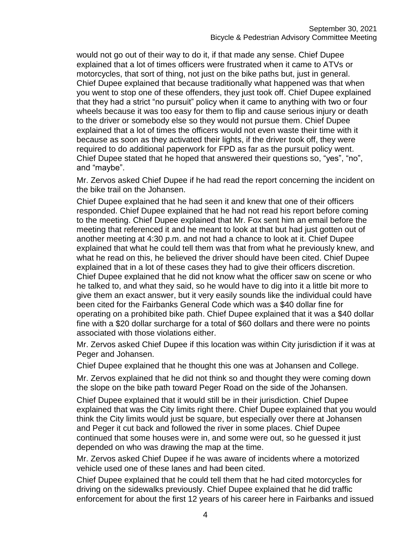would not go out of their way to do it, if that made any sense. Chief Dupee explained that a lot of times officers were frustrated when it came to ATVs or motorcycles, that sort of thing, not just on the bike paths but, just in general. Chief Dupee explained that because traditionally what happened was that when you went to stop one of these offenders, they just took off. Chief Dupee explained that they had a strict "no pursuit" policy when it came to anything with two or four wheels because it was too easy for them to flip and cause serious injury or death to the driver or somebody else so they would not pursue them. Chief Dupee explained that a lot of times the officers would not even waste their time with it because as soon as they activated their lights, if the driver took off, they were required to do additional paperwork for FPD as far as the pursuit policy went. Chief Dupee stated that he hoped that answered their questions so, "yes", "no", and "maybe".

Mr. Zervos asked Chief Dupee if he had read the report concerning the incident on the bike trail on the Johansen.

Chief Dupee explained that he had seen it and knew that one of their officers responded. Chief Dupee explained that he had not read his report before coming to the meeting. Chief Dupee explained that Mr. Fox sent him an email before the meeting that referenced it and he meant to look at that but had just gotten out of another meeting at 4:30 p.m. and not had a chance to look at it. Chief Dupee explained that what he could tell them was that from what he previously knew, and what he read on this, he believed the driver should have been cited. Chief Dupee explained that in a lot of these cases they had to give their officers discretion. Chief Dupee explained that he did not know what the officer saw on scene or who he talked to, and what they said, so he would have to dig into it a little bit more to give them an exact answer, but it very easily sounds like the individual could have been cited for the Fairbanks General Code which was a \$40 dollar fine for operating on a prohibited bike path. Chief Dupee explained that it was a \$40 dollar fine with a \$20 dollar surcharge for a total of \$60 dollars and there were no points associated with those violations either.

Mr. Zervos asked Chief Dupee if this location was within City jurisdiction if it was at Peger and Johansen.

Chief Dupee explained that he thought this one was at Johansen and College.

Mr. Zervos explained that he did not think so and thought they were coming down the slope on the bike path toward Peger Road on the side of the Johansen.

Chief Dupee explained that it would still be in their jurisdiction. Chief Dupee explained that was the City limits right there. Chief Dupee explained that you would think the City limits would just be square, but especially over there at Johansen and Peger it cut back and followed the river in some places. Chief Dupee continued that some houses were in, and some were out, so he guessed it just depended on who was drawing the map at the time.

Mr. Zervos asked Chief Dupee if he was aware of incidents where a motorized vehicle used one of these lanes and had been cited.

Chief Dupee explained that he could tell them that he had cited motorcycles for driving on the sidewalks previously. Chief Dupee explained that he did traffic enforcement for about the first 12 years of his career here in Fairbanks and issued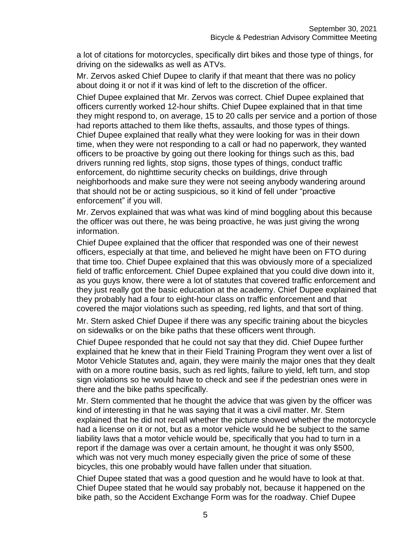a lot of citations for motorcycles, specifically dirt bikes and those type of things, for driving on the sidewalks as well as ATVs.

Mr. Zervos asked Chief Dupee to clarify if that meant that there was no policy about doing it or not if it was kind of left to the discretion of the officer.

Chief Dupee explained that Mr. Zervos was correct. Chief Dupee explained that officers currently worked 12-hour shifts. Chief Dupee explained that in that time they might respond to, on average, 15 to 20 calls per service and a portion of those had reports attached to them like thefts, assaults, and those types of things. Chief Dupee explained that really what they were looking for was in their down time, when they were not responding to a call or had no paperwork, they wanted officers to be proactive by going out there looking for things such as this, bad drivers running red lights, stop signs, those types of things, conduct traffic enforcement, do nighttime security checks on buildings, drive through neighborhoods and make sure they were not seeing anybody wandering around that should not be or acting suspicious, so it kind of fell under "proactive enforcement" if you will.

Mr. Zervos explained that was what was kind of mind boggling about this because the officer was out there, he was being proactive, he was just giving the wrong information.

Chief Dupee explained that the officer that responded was one of their newest officers, especially at that time, and believed he might have been on FTO during that time too. Chief Dupee explained that this was obviously more of a specialized field of traffic enforcement. Chief Dupee explained that you could dive down into it, as you guys know, there were a lot of statutes that covered traffic enforcement and they just really got the basic education at the academy. Chief Dupee explained that they probably had a four to eight-hour class on traffic enforcement and that covered the major violations such as speeding, red lights, and that sort of thing.

Mr. Stern asked Chief Dupee if there was any specific training about the bicycles on sidewalks or on the bike paths that these officers went through.

Chief Dupee responded that he could not say that they did. Chief Dupee further explained that he knew that in their Field Training Program they went over a list of Motor Vehicle Statutes and, again, they were mainly the major ones that they dealt with on a more routine basis, such as red lights, failure to yield, left turn, and stop sign violations so he would have to check and see if the pedestrian ones were in there and the bike paths specifically.

Mr. Stern commented that he thought the advice that was given by the officer was kind of interesting in that he was saying that it was a civil matter. Mr. Stern explained that he did not recall whether the picture showed whether the motorcycle had a license on it or not, but as a motor vehicle would he be subject to the same liability laws that a motor vehicle would be, specifically that you had to turn in a report if the damage was over a certain amount, he thought it was only \$500, which was not very much money especially given the price of some of these bicycles, this one probably would have fallen under that situation.

Chief Dupee stated that was a good question and he would have to look at that. Chief Dupee stated that he would say probably not, because it happened on the bike path, so the Accident Exchange Form was for the roadway. Chief Dupee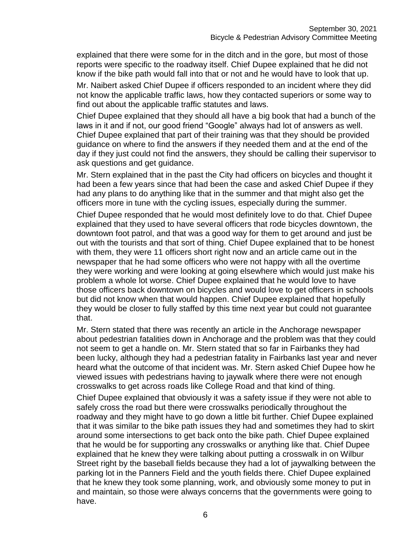explained that there were some for in the ditch and in the gore, but most of those reports were specific to the roadway itself. Chief Dupee explained that he did not know if the bike path would fall into that or not and he would have to look that up.

Mr. Naibert asked Chief Dupee if officers responded to an incident where they did not know the applicable traffic laws, how they contacted superiors or some way to find out about the applicable traffic statutes and laws.

Chief Dupee explained that they should all have a big book that had a bunch of the laws in it and if not, our good friend "Google" always had lot of answers as well. Chief Dupee explained that part of their training was that they should be provided guidance on where to find the answers if they needed them and at the end of the day if they just could not find the answers, they should be calling their supervisor to ask questions and get guidance.

Mr. Stern explained that in the past the City had officers on bicycles and thought it had been a few years since that had been the case and asked Chief Dupee if they had any plans to do anything like that in the summer and that might also get the officers more in tune with the cycling issues, especially during the summer.

Chief Dupee responded that he would most definitely love to do that. Chief Dupee explained that they used to have several officers that rode bicycles downtown, the downtown foot patrol, and that was a good way for them to get around and just be out with the tourists and that sort of thing. Chief Dupee explained that to be honest with them, they were 11 officers short right now and an article came out in the newspaper that he had some officers who were not happy with all the overtime they were working and were looking at going elsewhere which would just make his problem a whole lot worse. Chief Dupee explained that he would love to have those officers back downtown on bicycles and would love to get officers in schools but did not know when that would happen. Chief Dupee explained that hopefully they would be closer to fully staffed by this time next year but could not guarantee that.

Mr. Stern stated that there was recently an article in the Anchorage newspaper about pedestrian fatalities down in Anchorage and the problem was that they could not seem to get a handle on. Mr. Stern stated that so far in Fairbanks they had been lucky, although they had a pedestrian fatality in Fairbanks last year and never heard what the outcome of that incident was. Mr. Stern asked Chief Dupee how he viewed issues with pedestrians having to jaywalk where there were not enough crosswalks to get across roads like College Road and that kind of thing.

Chief Dupee explained that obviously it was a safety issue if they were not able to safely cross the road but there were crosswalks periodically throughout the roadway and they might have to go down a little bit further. Chief Dupee explained that it was similar to the bike path issues they had and sometimes they had to skirt around some intersections to get back onto the bike path. Chief Dupee explained that he would be for supporting any crosswalks or anything like that. Chief Dupee explained that he knew they were talking about putting a crosswalk in on Wilbur Street right by the baseball fields because they had a lot of jaywalking between the parking lot in the Panners Field and the youth fields there. Chief Dupee explained that he knew they took some planning, work, and obviously some money to put in and maintain, so those were always concerns that the governments were going to have.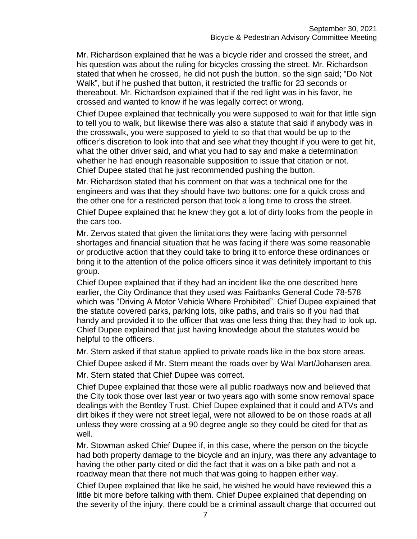Mr. Richardson explained that he was a bicycle rider and crossed the street, and his question was about the ruling for bicycles crossing the street. Mr. Richardson stated that when he crossed, he did not push the button, so the sign said; "Do Not Walk", but if he pushed that button, it restricted the traffic for 23 seconds or thereabout. Mr. Richardson explained that if the red light was in his favor, he crossed and wanted to know if he was legally correct or wrong.

Chief Dupee explained that technically you were supposed to wait for that little sign to tell you to walk, but likewise there was also a statute that said if anybody was in the crosswalk, you were supposed to yield to so that that would be up to the officer's discretion to look into that and see what they thought if you were to get hit, what the other driver said, and what you had to say and make a determination whether he had enough reasonable supposition to issue that citation or not. Chief Dupee stated that he just recommended pushing the button.

Mr. Richardson stated that his comment on that was a technical one for the engineers and was that they should have two buttons: one for a quick cross and the other one for a restricted person that took a long time to cross the street.

Chief Dupee explained that he knew they got a lot of dirty looks from the people in the cars too.

Mr. Zervos stated that given the limitations they were facing with personnel shortages and financial situation that he was facing if there was some reasonable or productive action that they could take to bring it to enforce these ordinances or bring it to the attention of the police officers since it was definitely important to this group.

Chief Dupee explained that if they had an incident like the one described here earlier, the City Ordinance that they used was Fairbanks General Code 78-578 which was "Driving A Motor Vehicle Where Prohibited". Chief Dupee explained that the statute covered parks, parking lots, bike paths, and trails so if you had that handy and provided it to the officer that was one less thing that they had to look up. Chief Dupee explained that just having knowledge about the statutes would be helpful to the officers.

Mr. Stern asked if that statue applied to private roads like in the box store areas.

Chief Dupee asked if Mr. Stern meant the roads over by Wal Mart/Johansen area.

Mr. Stern stated that Chief Dupee was correct.

Chief Dupee explained that those were all public roadways now and believed that the City took those over last year or two years ago with some snow removal space dealings with the Bentley Trust. Chief Dupee explained that it could and ATVs and dirt bikes if they were not street legal, were not allowed to be on those roads at all unless they were crossing at a 90 degree angle so they could be cited for that as well.

Mr. Stowman asked Chief Dupee if, in this case, where the person on the bicycle had both property damage to the bicycle and an injury, was there any advantage to having the other party cited or did the fact that it was on a bike path and not a roadway mean that there not much that was going to happen either way.

Chief Dupee explained that like he said, he wished he would have reviewed this a little bit more before talking with them. Chief Dupee explained that depending on the severity of the injury, there could be a criminal assault charge that occurred out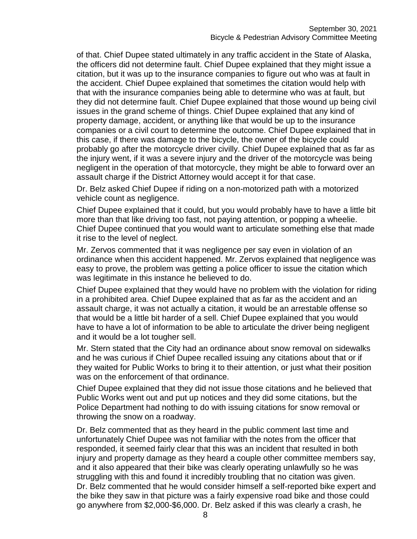of that. Chief Dupee stated ultimately in any traffic accident in the State of Alaska, the officers did not determine fault. Chief Dupee explained that they might issue a citation, but it was up to the insurance companies to figure out who was at fault in the accident. Chief Dupee explained that sometimes the citation would help with that with the insurance companies being able to determine who was at fault, but they did not determine fault. Chief Dupee explained that those wound up being civil issues in the grand scheme of things. Chief Dupee explained that any kind of property damage, accident, or anything like that would be up to the insurance companies or a civil court to determine the outcome. Chief Dupee explained that in this case, if there was damage to the bicycle, the owner of the bicycle could probably go after the motorcycle driver civilly. Chief Dupee explained that as far as the injury went, if it was a severe injury and the driver of the motorcycle was being negligent in the operation of that motorcycle, they might be able to forward over an assault charge if the District Attorney would accept it for that case.

Dr. Belz asked Chief Dupee if riding on a non-motorized path with a motorized vehicle count as negligence.

Chief Dupee explained that it could, but you would probably have to have a little bit more than that like driving too fast, not paying attention, or popping a wheelie. Chief Dupee continued that you would want to articulate something else that made it rise to the level of neglect.

Mr. Zervos commented that it was negligence per say even in violation of an ordinance when this accident happened. Mr. Zervos explained that negligence was easy to prove, the problem was getting a police officer to issue the citation which was legitimate in this instance he believed to do.

Chief Dupee explained that they would have no problem with the violation for riding in a prohibited area. Chief Dupee explained that as far as the accident and an assault charge, it was not actually a citation, it would be an arrestable offense so that would be a little bit harder of a sell. Chief Dupee explained that you would have to have a lot of information to be able to articulate the driver being negligent and it would be a lot tougher sell.

Mr. Stern stated that the City had an ordinance about snow removal on sidewalks and he was curious if Chief Dupee recalled issuing any citations about that or if they waited for Public Works to bring it to their attention, or just what their position was on the enforcement of that ordinance.

Chief Dupee explained that they did not issue those citations and he believed that Public Works went out and put up notices and they did some citations, but the Police Department had nothing to do with issuing citations for snow removal or throwing the snow on a roadway.

Dr. Belz commented that as they heard in the public comment last time and unfortunately Chief Dupee was not familiar with the notes from the officer that responded, it seemed fairly clear that this was an incident that resulted in both injury and property damage as they heard a couple other committee members say, and it also appeared that their bike was clearly operating unlawfully so he was struggling with this and found it incredibly troubling that no citation was given. Dr. Belz commented that he would consider himself a self-reported bike expert and the bike they saw in that picture was a fairly expensive road bike and those could go anywhere from \$2,000-\$6,000. Dr. Belz asked if this was clearly a crash, he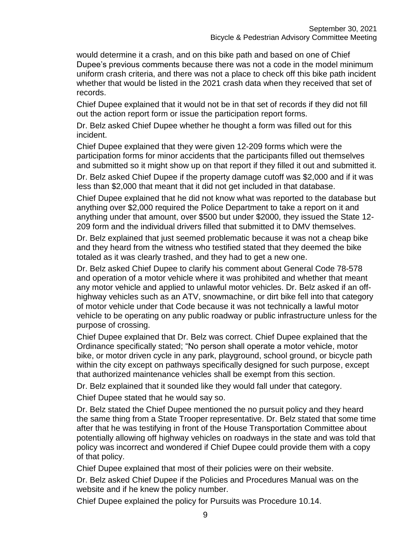would determine it a crash, and on this bike path and based on one of Chief Dupee's previous comments because there was not a code in the model minimum uniform crash criteria, and there was not a place to check off this bike path incident whether that would be listed in the 2021 crash data when they received that set of records.

Chief Dupee explained that it would not be in that set of records if they did not fill out the action report form or issue the participation report forms.

Dr. Belz asked Chief Dupee whether he thought a form was filled out for this incident.

Chief Dupee explained that they were given 12-209 forms which were the participation forms for minor accidents that the participants filled out themselves and submitted so it might show up on that report if they filled it out and submitted it.

Dr. Belz asked Chief Dupee if the property damage cutoff was \$2,000 and if it was less than \$2,000 that meant that it did not get included in that database.

Chief Dupee explained that he did not know what was reported to the database but anything over \$2,000 required the Police Department to take a report on it and anything under that amount, over \$500 but under \$2000, they issued the State 12- 209 form and the individual drivers filled that submitted it to DMV themselves.

Dr. Belz explained that just seemed problematic because it was not a cheap bike and they heard from the witness who testified stated that they deemed the bike totaled as it was clearly trashed, and they had to get a new one.

Dr. Belz asked Chief Dupee to clarify his comment about General Code 78-578 and operation of a motor vehicle where it was prohibited and whether that meant any motor vehicle and applied to unlawful motor vehicles. Dr. Belz asked if an offhighway vehicles such as an ATV, snowmachine, or dirt bike fell into that category of motor vehicle under that Code because it was not technically a lawful motor vehicle to be operating on any public roadway or public infrastructure unless for the purpose of crossing.

Chief Dupee explained that Dr. Belz was correct. Chief Dupee explained that the Ordinance specifically stated; "No person shall operate a motor vehicle, motor bike, or motor driven cycle in any park, playground, school ground, or bicycle path within the city except on pathways specifically designed for such purpose, except that authorized maintenance vehicles shall be exempt from this section.

Dr. Belz explained that it sounded like they would fall under that category.

Chief Dupee stated that he would say so.

Dr. Belz stated the Chief Dupee mentioned the no pursuit policy and they heard the same thing from a State Trooper representative. Dr. Belz stated that some time after that he was testifying in front of the House Transportation Committee about potentially allowing off highway vehicles on roadways in the state and was told that policy was incorrect and wondered if Chief Dupee could provide them with a copy of that policy.

Chief Dupee explained that most of their policies were on their website.

Dr. Belz asked Chief Dupee if the Policies and Procedures Manual was on the website and if he knew the policy number.

Chief Dupee explained the policy for Pursuits was Procedure 10.14.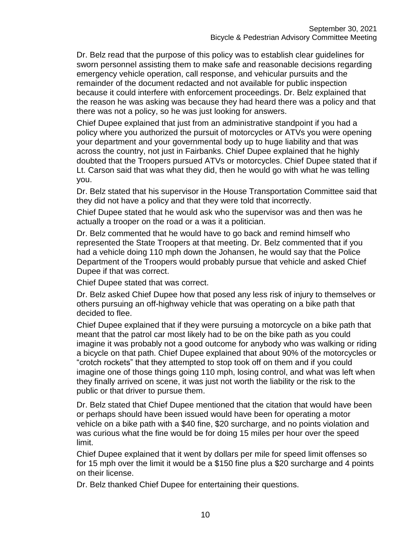Dr. Belz read that the purpose of this policy was to establish clear guidelines for sworn personnel assisting them to make safe and reasonable decisions regarding emergency vehicle operation, call response, and vehicular pursuits and the remainder of the document redacted and not available for public inspection because it could interfere with enforcement proceedings. Dr. Belz explained that the reason he was asking was because they had heard there was a policy and that there was not a policy, so he was just looking for answers.

Chief Dupee explained that just from an administrative standpoint if you had a policy where you authorized the pursuit of motorcycles or ATVs you were opening your department and your governmental body up to huge liability and that was across the country, not just in Fairbanks. Chief Dupee explained that he highly doubted that the Troopers pursued ATVs or motorcycles. Chief Dupee stated that if Lt. Carson said that was what they did, then he would go with what he was telling you.

Dr. Belz stated that his supervisor in the House Transportation Committee said that they did not have a policy and that they were told that incorrectly.

Chief Dupee stated that he would ask who the supervisor was and then was he actually a trooper on the road or a was it a politician.

Dr. Belz commented that he would have to go back and remind himself who represented the State Troopers at that meeting. Dr. Belz commented that if you had a vehicle doing 110 mph down the Johansen, he would say that the Police Department of the Troopers would probably pursue that vehicle and asked Chief Dupee if that was correct.

Chief Dupee stated that was correct.

Dr. Belz asked Chief Dupee how that posed any less risk of injury to themselves or others pursuing an off-highway vehicle that was operating on a bike path that decided to flee.

Chief Dupee explained that if they were pursuing a motorcycle on a bike path that meant that the patrol car most likely had to be on the bike path as you could imagine it was probably not a good outcome for anybody who was walking or riding a bicycle on that path. Chief Dupee explained that about 90% of the motorcycles or "crotch rockets" that they attempted to stop took off on them and if you could imagine one of those things going 110 mph, losing control, and what was left when they finally arrived on scene, it was just not worth the liability or the risk to the public or that driver to pursue them.

Dr. Belz stated that Chief Dupee mentioned that the citation that would have been or perhaps should have been issued would have been for operating a motor vehicle on a bike path with a \$40 fine, \$20 surcharge, and no points violation and was curious what the fine would be for doing 15 miles per hour over the speed limit.

Chief Dupee explained that it went by dollars per mile for speed limit offenses so for 15 mph over the limit it would be a \$150 fine plus a \$20 surcharge and 4 points on their license.

Dr. Belz thanked Chief Dupee for entertaining their questions.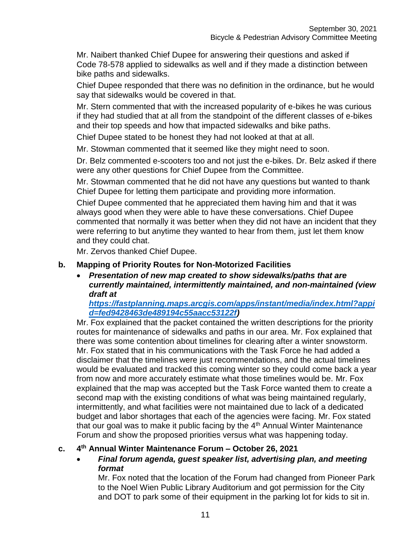Mr. Naibert thanked Chief Dupee for answering their questions and asked if Code 78-578 applied to sidewalks as well and if they made a distinction between bike paths and sidewalks.

Chief Dupee responded that there was no definition in the ordinance, but he would say that sidewalks would be covered in that.

Mr. Stern commented that with the increased popularity of e-bikes he was curious if they had studied that at all from the standpoint of the different classes of e-bikes and their top speeds and how that impacted sidewalks and bike paths.

Chief Dupee stated to be honest they had not looked at that at all.

Mr. Stowman commented that it seemed like they might need to soon.

Dr. Belz commented e-scooters too and not just the e-bikes. Dr. Belz asked if there were any other questions for Chief Dupee from the Committee.

Mr. Stowman commented that he did not have any questions but wanted to thank Chief Dupee for letting them participate and providing more information.

Chief Dupee commented that he appreciated them having him and that it was always good when they were able to have these conversations. Chief Dupee commented that normally it was better when they did not have an incident that they were referring to but anytime they wanted to hear from them, just let them know and they could chat.

Mr. Zervos thanked Chief Dupee.

### **b. Mapping of Priority Routes for Non-Motorized Facilities**

 *Presentation of new map created to show sidewalks/paths that are currently maintained, intermittently maintained, and non-maintained (view draft at* 

*[https://fastplanning.maps.arcgis.com/apps/instant/media/index.html?appi](https://fastplanning.maps.arcgis.com/apps/instant/media/index.html?appid=fed9428463de489194c55aacc53122f) [d=fed9428463de489194c55aacc53122f\)](https://fastplanning.maps.arcgis.com/apps/instant/media/index.html?appid=fed9428463de489194c55aacc53122f)*

Mr. Fox explained that the packet contained the written descriptions for the priority routes for maintenance of sidewalks and paths in our area. Mr. Fox explained that there was some contention about timelines for clearing after a winter snowstorm. Mr. Fox stated that in his communications with the Task Force he had added a disclaimer that the timelines were just recommendations, and the actual timelines would be evaluated and tracked this coming winter so they could come back a year from now and more accurately estimate what those timelines would be. Mr. Fox explained that the map was accepted but the Task Force wanted them to create a second map with the existing conditions of what was being maintained regularly, intermittently, and what facilities were not maintained due to lack of a dedicated budget and labor shortages that each of the agencies were facing. Mr. Fox stated that our goal was to make it public facing by the 4<sup>th</sup> Annual Winter Maintenance Forum and show the proposed priorities versus what was happening today.

#### **c. 4 th Annual Winter Maintenance Forum – October 26, 2021**

 *Final forum agenda, guest speaker list, advertising plan, and meeting format*

Mr. Fox noted that the location of the Forum had changed from Pioneer Park to the Noel Wien Public Library Auditorium and got permission for the City and DOT to park some of their equipment in the parking lot for kids to sit in.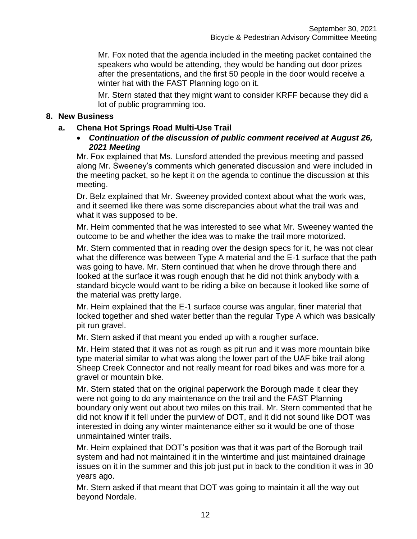Mr. Fox noted that the agenda included in the meeting packet contained the speakers who would be attending, they would be handing out door prizes after the presentations, and the first 50 people in the door would receive a winter hat with the FAST Planning logo on it.

Mr. Stern stated that they might want to consider KRFF because they did a lot of public programming too.

### **8. New Business**

### **a. Chena Hot Springs Road Multi-Use Trail**

### *Continuation of the discussion of public comment received at August 26, 2021 Meeting*

Mr. Fox explained that Ms. Lunsford attended the previous meeting and passed along Mr. Sweeney's comments which generated discussion and were included in the meeting packet, so he kept it on the agenda to continue the discussion at this meeting.

Dr. Belz explained that Mr. Sweeney provided context about what the work was, and it seemed like there was some discrepancies about what the trail was and what it was supposed to be.

Mr. Heim commented that he was interested to see what Mr. Sweeney wanted the outcome to be and whether the idea was to make the trail more motorized.

Mr. Stern commented that in reading over the design specs for it, he was not clear what the difference was between Type A material and the E-1 surface that the path was going to have. Mr. Stern continued that when he drove through there and looked at the surface it was rough enough that he did not think anybody with a standard bicycle would want to be riding a bike on because it looked like some of the material was pretty large.

Mr. Heim explained that the E-1 surface course was angular, finer material that locked together and shed water better than the regular Type A which was basically pit run gravel.

Mr. Stern asked if that meant you ended up with a rougher surface.

Mr. Heim stated that it was not as rough as pit run and it was more mountain bike type material similar to what was along the lower part of the UAF bike trail along Sheep Creek Connector and not really meant for road bikes and was more for a gravel or mountain bike.

Mr. Stern stated that on the original paperwork the Borough made it clear they were not going to do any maintenance on the trail and the FAST Planning boundary only went out about two miles on this trail. Mr. Stern commented that he did not know if it fell under the purview of DOT, and it did not sound like DOT was interested in doing any winter maintenance either so it would be one of those unmaintained winter trails.

Mr. Heim explained that DOT's position was that it was part of the Borough trail system and had not maintained it in the wintertime and just maintained drainage issues on it in the summer and this job just put in back to the condition it was in 30 years ago.

Mr. Stern asked if that meant that DOT was going to maintain it all the way out beyond Nordale.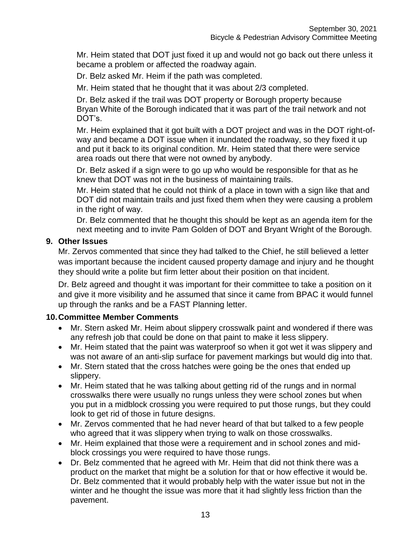Mr. Heim stated that DOT just fixed it up and would not go back out there unless it became a problem or affected the roadway again.

Dr. Belz asked Mr. Heim if the path was completed.

Mr. Heim stated that he thought that it was about 2/3 completed.

Dr. Belz asked if the trail was DOT property or Borough property because Bryan White of the Borough indicated that it was part of the trail network and not DOT's.

Mr. Heim explained that it got built with a DOT project and was in the DOT right-ofway and became a DOT issue when it inundated the roadway, so they fixed it up and put it back to its original condition. Mr. Heim stated that there were service area roads out there that were not owned by anybody.

Dr. Belz asked if a sign were to go up who would be responsible for that as he knew that DOT was not in the business of maintaining trails.

Mr. Heim stated that he could not think of a place in town with a sign like that and DOT did not maintain trails and just fixed them when they were causing a problem in the right of way.

Dr. Belz commented that he thought this should be kept as an agenda item for the next meeting and to invite Pam Golden of DOT and Bryant Wright of the Borough.

### **9. Other Issues**

Mr. Zervos commented that since they had talked to the Chief, he still believed a letter was important because the incident caused property damage and injury and he thought they should write a polite but firm letter about their position on that incident.

Dr. Belz agreed and thought it was important for their committee to take a position on it and give it more visibility and he assumed that since it came from BPAC it would funnel up through the ranks and be a FAST Planning letter.

# **10.Committee Member Comments**

- Mr. Stern asked Mr. Heim about slippery crosswalk paint and wondered if there was any refresh job that could be done on that paint to make it less slippery.
- Mr. Heim stated that the paint was waterproof so when it got wet it was slippery and was not aware of an anti-slip surface for pavement markings but would dig into that.
- Mr. Stern stated that the cross hatches were going be the ones that ended up slippery.
- Mr. Heim stated that he was talking about getting rid of the rungs and in normal crosswalks there were usually no rungs unless they were school zones but when you put in a midblock crossing you were required to put those rungs, but they could look to get rid of those in future designs.
- Mr. Zervos commented that he had never heard of that but talked to a few people who agreed that it was slippery when trying to walk on those crosswalks.
- Mr. Heim explained that those were a requirement and in school zones and midblock crossings you were required to have those rungs.
- Dr. Belz commented that he agreed with Mr. Heim that did not think there was a product on the market that might be a solution for that or how effective it would be. Dr. Belz commented that it would probably help with the water issue but not in the winter and he thought the issue was more that it had slightly less friction than the pavement.